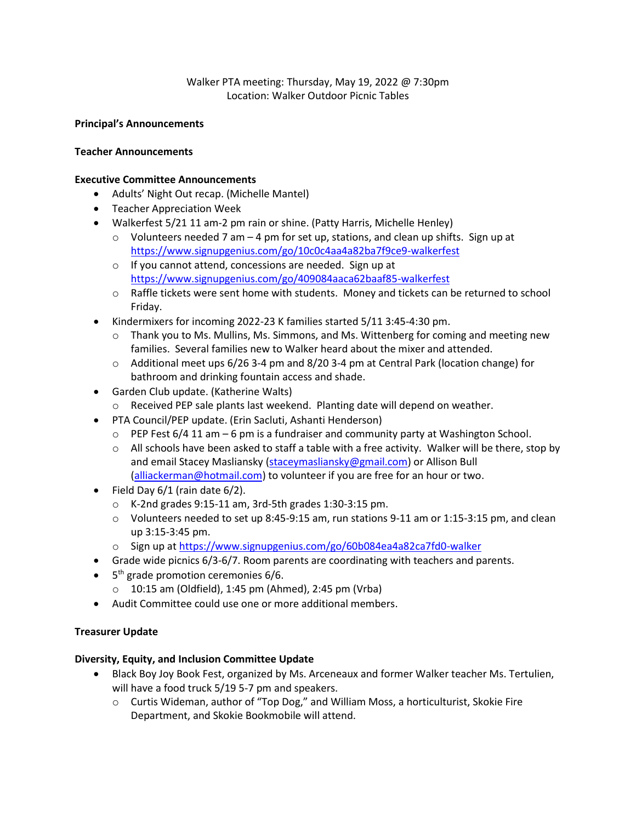Walker PTA meeting: Thursday, May 19, 2022 @ 7:30pm Location: Walker Outdoor Picnic Tables

#### **Principal's Announcements**

#### **Teacher Announcements**

#### **Executive Committee Announcements**

- Adults' Night Out recap. (Michelle Mantel)
- Teacher Appreciation Week
- Walkerfest 5/21 11 am-2 pm rain or shine. (Patty Harris, Michelle Henley)
	- $\circ$  Volunteers needed 7 am 4 pm for set up, stations, and clean up shifts. Sign up at <https://www.signupgenius.com/go/10c0c4aa4a82ba7f9ce9-walkerfest>
	- o If you cannot attend, concessions are needed. Sign up at <https://www.signupgenius.com/go/409084aaca62baaf85-walkerfest>
	- o Raffle tickets were sent home with students. Money and tickets can be returned to school Friday.
- Kindermixers for incoming 2022-23 K families started 5/11 3:45-4:30 pm.
	- $\circ$  Thank you to Ms. Mullins, Ms. Simmons, and Ms. Wittenberg for coming and meeting new families. Several families new to Walker heard about the mixer and attended.
	- o Additional meet ups 6/26 3-4 pm and 8/20 3-4 pm at Central Park (location change) for bathroom and drinking fountain access and shade.
- Garden Club update. (Katherine Walts)
	- o Received PEP sale plants last weekend. Planting date will depend on weather.
- PTA Council/PEP update. (Erin Sacluti, Ashanti Henderson)
	- $\circ$  PEP Fest 6/4 11 am 6 pm is a fundraiser and community party at Washington School.
	- $\circ$  All schools have been asked to staff a table with a free activity. Walker will be there, stop by and email Stacey Masliansky [\(staceymasliansky@gmail.com\)](mailto:staceymasliansky@gmail.com) or Allison Bull [\(alliackerman@hotmail.com\)](mailto:alliackerman@hotmail.com) to volunteer if you are free for an hour or two.
- Field Day  $6/1$  (rain date  $6/2$ ).
	- o K-2nd grades 9:15-11 am, 3rd-5th grades 1:30-3:15 pm.
	- $\circ$  Volunteers needed to set up 8:45-9:15 am, run stations 9-11 am or 1:15-3:15 pm, and clean up 3:15-3:45 pm.
	- o Sign up a[t https://www.signupgenius.com/go/60b084ea4a82ca7fd0-walker](https://www.signupgenius.com/go/60b084ea4a82ca7fd0-walker)
- Grade wide picnics 6/3-6/7. Room parents are coordinating with teachers and parents.
- 5<sup>th</sup> grade promotion ceremonies 6/6.
	- $\circ$  10:15 am (Oldfield), 1:45 pm (Ahmed), 2:45 pm (Vrba)
- Audit Committee could use one or more additional members.

## **Treasurer Update**

## **Diversity, Equity, and Inclusion Committee Update**

- Black Boy Joy Book Fest, organized by Ms. Arceneaux and former Walker teacher Ms. Tertulien, will have a food truck 5/19 5-7 pm and speakers.
	- o Curtis Wideman, author of "Top Dog," and William Moss, a horticulturist, Skokie Fire Department, and Skokie Bookmobile will attend.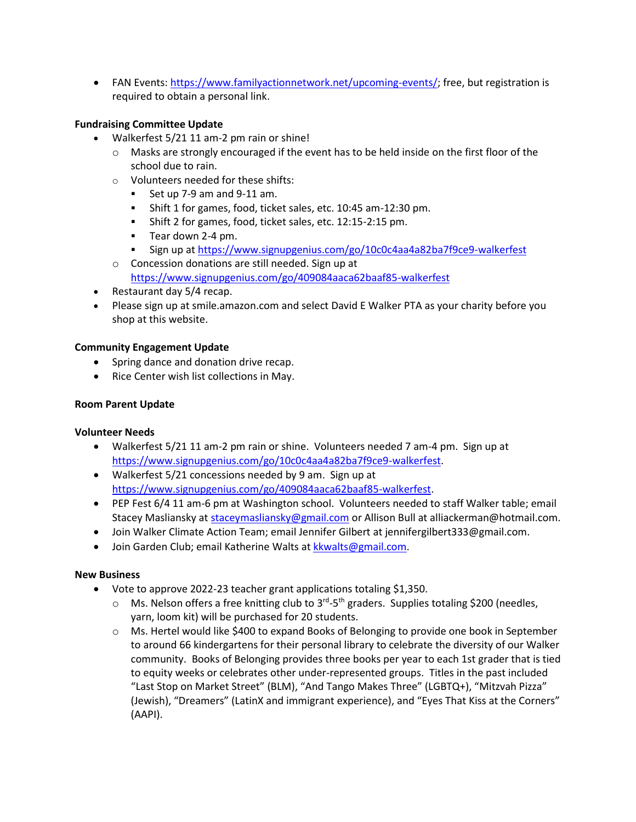• FAN Events: [https://www.familyactionnetwork.net/upcoming-events/;](https://www.familyactionnetwork.net/upcoming-events/) free, but registration is required to obtain a personal link.

# **Fundraising Committee Update**

- Walkerfest 5/21 11 am-2 pm rain or shine!
	- $\circ$  Masks are strongly encouraged if the event has to be held inside on the first floor of the school due to rain.
	- o Volunteers needed for these shifts:
		- Set up 7-9 am and 9-11 am.
		- Shift 1 for games, food, ticket sales, etc. 10:45 am-12:30 pm.
		- Shift 2 for games, food, ticket sales, etc. 12:15-2:15 pm.
		- Tear down 2-4 pm.
		- Sign up a[t https://www.signupgenius.com/go/10c0c4aa4a82ba7f9ce9-walkerfest](https://www.signupgenius.com/go/10c0c4aa4a82ba7f9ce9-walkerfest)
	- o Concession donations are still needed. Sign up at <https://www.signupgenius.com/go/409084aaca62baaf85-walkerfest>
- Restaurant day 5/4 recap.
- Please sign up at smile.amazon.com and select David E Walker PTA as your charity before you shop at this website.

## **Community Engagement Update**

- Spring dance and donation drive recap.
- Rice Center wish list collections in May.

## **Room Parent Update**

## **Volunteer Needs**

- Walkerfest 5/21 11 am-2 pm rain or shine. Volunteers needed 7 am-4 pm. Sign up at [https://www.signupgenius.com/go/10c0c4aa4a82ba7f9ce9-walkerfest.](https://www.signupgenius.com/go/10c0c4aa4a82ba7f9ce9-walkerfest)
- Walkerfest 5/21 concessions needed by 9 am. Sign up at [https://www.signupgenius.com/go/409084aaca62baaf85-walkerfest.](https://www.signupgenius.com/go/409084aaca62baaf85-walkerfest)
- PEP Fest 6/4 11 am-6 pm at Washington school. Volunteers needed to staff Walker table; email Stacey Masliansky at [staceymasliansky@gmail.com](mailto:staceymasliansky@gmail.com) or Allison Bull at alliackerman@hotmail.com.
- Join Walker Climate Action Team; email Jennifer Gilbert at [jennifergilbert333@gmail.com.](mailto:jennifergilbert333@gmail.com)
- · Join Garden Club; email Katherine Walts a[t kkwalts@gmail.com.](mailto:kkwalts@gmail.com)

## **New Business**

- Vote to approve 2022-23 teacher grant applications totaling \$1,350.
	- $\circ$  Ms. Nelson offers a free knitting club to 3<sup>rd</sup>-5<sup>th</sup> graders. Supplies totaling \$200 (needles, yarn, loom kit) will be purchased for 20 students.
	- o Ms. Hertel would like \$400 to expand Books of Belonging to provide one book in September to around 66 kindergartens for their personal library to celebrate the diversity of our Walker community. Books of Belonging provides three books per year to each 1st grader that is tied to equity weeks or celebrates other under-represented groups. Titles in the past included "Last Stop on Market Street" (BLM), "And Tango Makes Three" (LGBTQ+), "Mitzvah Pizza" (Jewish), "Dreamers" (LatinX and immigrant experience), and "Eyes That Kiss at the Corners" (AAPI).